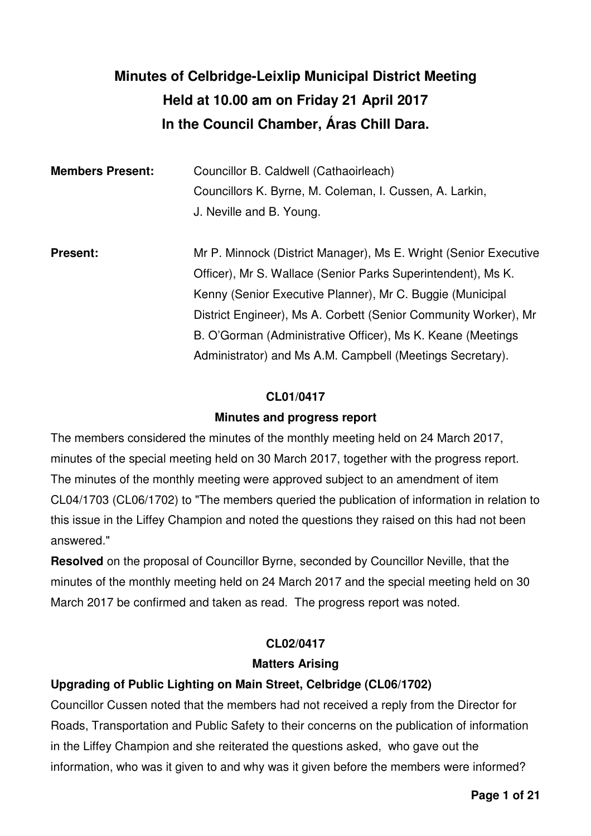# **Minutes of Celbridge-Leixlip Municipal District Meeting Held at 10.00 am on Friday 21 April 2017 In the Council Chamber, Áras Chill Dara.**

| <b>Members Present:</b> | Councillor B. Caldwell (Cathaoirleach)                           |  |
|-------------------------|------------------------------------------------------------------|--|
|                         | Councillors K. Byrne, M. Coleman, I. Cussen, A. Larkin,          |  |
|                         | J. Neville and B. Young.                                         |  |
|                         |                                                                  |  |
| <b>Present:</b>         | Mr P. Minnock (District Manager), Ms E. Wright (Senior Executive |  |
|                         | Officer), Mr S. Wallace (Senior Parks Superintendent), Ms K.     |  |
|                         | Kenny (Senior Executive Planner), Mr C. Buggie (Municipal        |  |
|                         | District Engineer), Ms A. Corbett (Senior Community Worker), Mr  |  |
|                         | B. O'Gorman (Administrative Officer), Ms K. Keane (Meetings      |  |
|                         | Administrator) and Ms A.M. Campbell (Meetings Secretary).        |  |

#### **CL01/0417**

#### **Minutes and progress report**

The members considered the minutes of the monthly meeting held on 24 March 2017, minutes of the special meeting held on 30 March 2017, together with the progress report. The minutes of the monthly meeting were approved subject to an amendment of item CL04/1703 (CL06/1702) to "The members queried the publication of information in relation to this issue in the Liffey Champion and noted the questions they raised on this had not been answered."

**Resolved** on the proposal of Councillor Byrne, seconded by Councillor Neville, that the minutes of the monthly meeting held on 24 March 2017 and the special meeting held on 30 March 2017 be confirmed and taken as read. The progress report was noted.

#### **CL02/0417**

#### **Matters Arising**

#### **Upgrading of Public Lighting on Main Street, Celbridge (CL06/1702)**

Councillor Cussen noted that the members had not received a reply from the Director for Roads, Transportation and Public Safety to their concerns on the publication of information in the Liffey Champion and she reiterated the questions asked, who gave out the information, who was it given to and why was it given before the members were informed?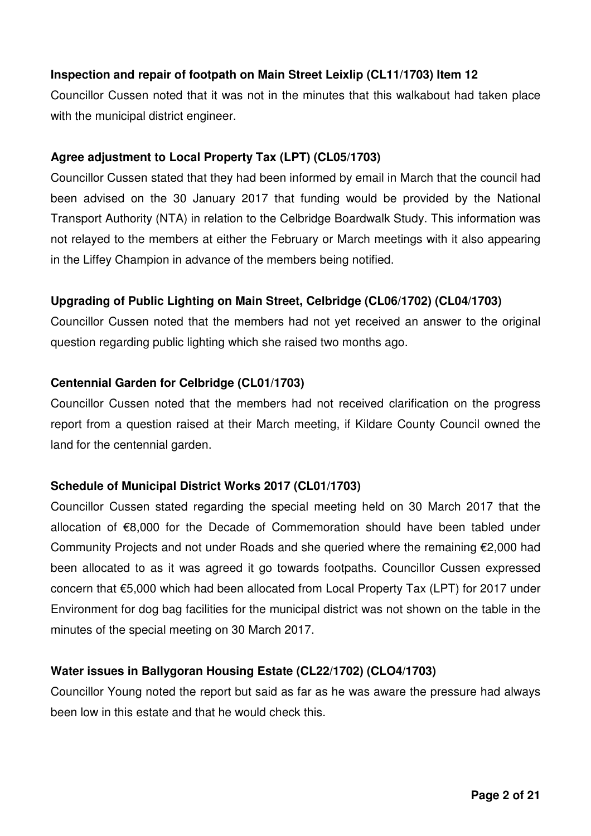### **Inspection and repair of footpath on Main Street Leixlip (CL11/1703) Item 12**

Councillor Cussen noted that it was not in the minutes that this walkabout had taken place with the municipal district engineer.

### **Agree adjustment to Local Property Tax (LPT) (CL05/1703)**

Councillor Cussen stated that they had been informed by email in March that the council had been advised on the 30 January 2017 that funding would be provided by the National Transport Authority (NTA) in relation to the Celbridge Boardwalk Study. This information was not relayed to the members at either the February or March meetings with it also appearing in the Liffey Champion in advance of the members being notified.

### **Upgrading of Public Lighting on Main Street, Celbridge (CL06/1702) (CL04/1703)**

Councillor Cussen noted that the members had not yet received an answer to the original question regarding public lighting which she raised two months ago.

### **Centennial Garden for Celbridge (CL01/1703)**

Councillor Cussen noted that the members had not received clarification on the progress report from a question raised at their March meeting, if Kildare County Council owned the land for the centennial garden.

### **Schedule of Municipal District Works 2017 (CL01/1703)**

Councillor Cussen stated regarding the special meeting held on 30 March 2017 that the allocation of €8,000 for the Decade of Commemoration should have been tabled under Community Projects and not under Roads and she queried where the remaining €2,000 had been allocated to as it was agreed it go towards footpaths. Councillor Cussen expressed concern that €5,000 which had been allocated from Local Property Tax (LPT) for 2017 under Environment for dog bag facilities for the municipal district was not shown on the table in the minutes of the special meeting on 30 March 2017.

# **Water issues in Ballygoran Housing Estate (CL22/1702) (CLO4/1703)**

Councillor Young noted the report but said as far as he was aware the pressure had always been low in this estate and that he would check this.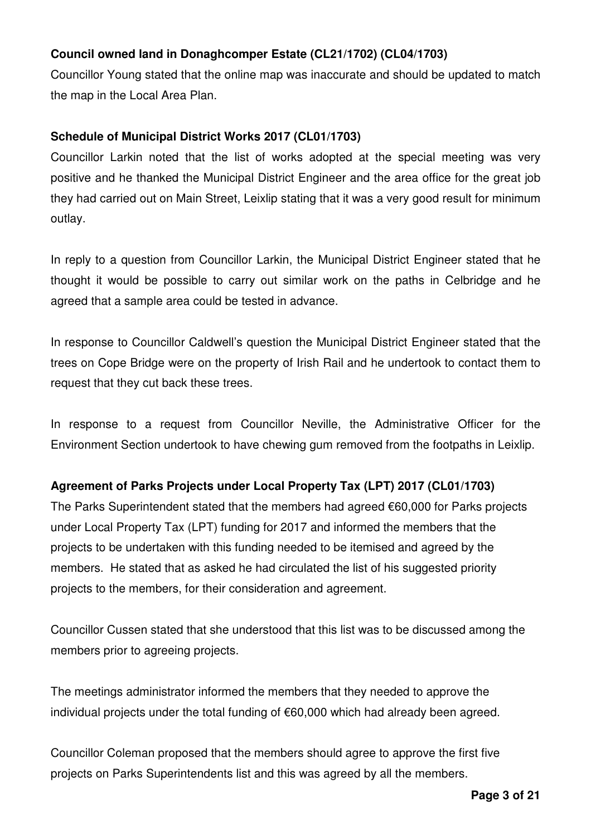# **Council owned land in Donaghcomper Estate (CL21/1702) (CL04/1703)**

Councillor Young stated that the online map was inaccurate and should be updated to match the map in the Local Area Plan.

### **Schedule of Municipal District Works 2017 (CL01/1703)**

Councillor Larkin noted that the list of works adopted at the special meeting was very positive and he thanked the Municipal District Engineer and the area office for the great job they had carried out on Main Street, Leixlip stating that it was a very good result for minimum outlay.

In reply to a question from Councillor Larkin, the Municipal District Engineer stated that he thought it would be possible to carry out similar work on the paths in Celbridge and he agreed that a sample area could be tested in advance.

In response to Councillor Caldwell's question the Municipal District Engineer stated that the trees on Cope Bridge were on the property of Irish Rail and he undertook to contact them to request that they cut back these trees.

In response to a request from Councillor Neville, the Administrative Officer for the Environment Section undertook to have chewing gum removed from the footpaths in Leixlip.

# **Agreement of Parks Projects under Local Property Tax (LPT) 2017 (CL01/1703)**

The Parks Superintendent stated that the members had agreed €60,000 for Parks projects under Local Property Tax (LPT) funding for 2017 and informed the members that the projects to be undertaken with this funding needed to be itemised and agreed by the members. He stated that as asked he had circulated the list of his suggested priority projects to the members, for their consideration and agreement.

Councillor Cussen stated that she understood that this list was to be discussed among the members prior to agreeing projects.

The meetings administrator informed the members that they needed to approve the individual projects under the total funding of €60,000 which had already been agreed.

Councillor Coleman proposed that the members should agree to approve the first five projects on Parks Superintendents list and this was agreed by all the members.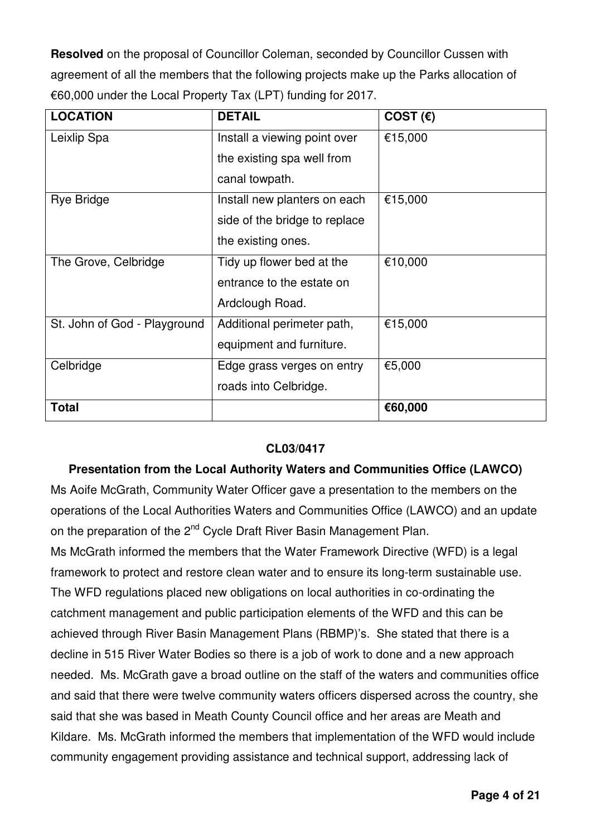**Resolved** on the proposal of Councillor Coleman, seconded by Councillor Cussen with agreement of all the members that the following projects make up the Parks allocation of €60,000 under the Local Property Tax (LPT) funding for 2017.

| <b>LOCATION</b>              | <b>DETAIL</b>                 | COST $(E)$ |
|------------------------------|-------------------------------|------------|
| Leixlip Spa                  | Install a viewing point over  | €15,000    |
|                              | the existing spa well from    |            |
|                              | canal towpath.                |            |
| <b>Rye Bridge</b>            | Install new planters on each  | €15,000    |
|                              | side of the bridge to replace |            |
|                              | the existing ones.            |            |
| The Grove, Celbridge         | Tidy up flower bed at the     | €10,000    |
|                              | entrance to the estate on     |            |
|                              | Ardclough Road.               |            |
| St. John of God - Playground | Additional perimeter path,    | €15,000    |
|                              | equipment and furniture.      |            |
| Celbridge                    | Edge grass verges on entry    | €5,000     |
|                              | roads into Celbridge.         |            |
| <b>Total</b>                 |                               | €60,000    |

#### **CL03/0417**

#### **Presentation from the Local Authority Waters and Communities Office (LAWCO)**

Ms Aoife McGrath, Community Water Officer gave a presentation to the members on the operations of the Local Authorities Waters and Communities Office (LAWCO) and an update on the preparation of the 2<sup>nd</sup> Cycle Draft River Basin Management Plan.

Ms McGrath informed the members that the Water Framework Directive (WFD) is a legal framework to protect and restore clean water and to ensure its long-term sustainable use. The WFD regulations placed new obligations on local authorities in co-ordinating the catchment management and public participation elements of the WFD and this can be achieved through River Basin Management Plans (RBMP)'s. She stated that there is a decline in 515 River Water Bodies so there is a job of work to done and a new approach needed. Ms. McGrath gave a broad outline on the staff of the waters and communities office and said that there were twelve community waters officers dispersed across the country, she said that she was based in Meath County Council office and her areas are Meath and Kildare. Ms. McGrath informed the members that implementation of the WFD would include community engagement providing assistance and technical support, addressing lack of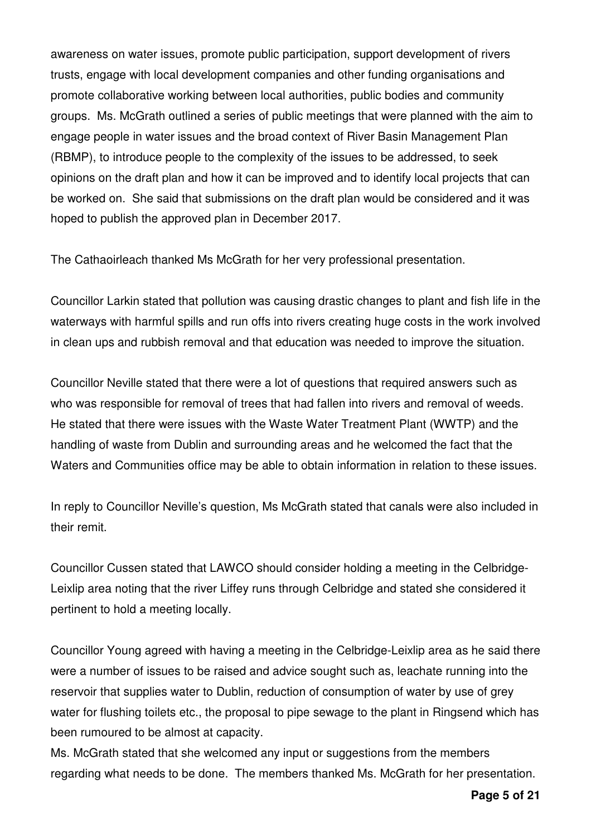awareness on water issues, promote public participation, support development of rivers trusts, engage with local development companies and other funding organisations and promote collaborative working between local authorities, public bodies and community groups. Ms. McGrath outlined a series of public meetings that were planned with the aim to engage people in water issues and the broad context of River Basin Management Plan (RBMP), to introduce people to the complexity of the issues to be addressed, to seek opinions on the draft plan and how it can be improved and to identify local projects that can be worked on. She said that submissions on the draft plan would be considered and it was hoped to publish the approved plan in December 2017.

The Cathaoirleach thanked Ms McGrath for her very professional presentation.

Councillor Larkin stated that pollution was causing drastic changes to plant and fish life in the waterways with harmful spills and run offs into rivers creating huge costs in the work involved in clean ups and rubbish removal and that education was needed to improve the situation.

Councillor Neville stated that there were a lot of questions that required answers such as who was responsible for removal of trees that had fallen into rivers and removal of weeds. He stated that there were issues with the Waste Water Treatment Plant (WWTP) and the handling of waste from Dublin and surrounding areas and he welcomed the fact that the Waters and Communities office may be able to obtain information in relation to these issues.

In reply to Councillor Neville's question, Ms McGrath stated that canals were also included in their remit.

Councillor Cussen stated that LAWCO should consider holding a meeting in the Celbridge-Leixlip area noting that the river Liffey runs through Celbridge and stated she considered it pertinent to hold a meeting locally.

Councillor Young agreed with having a meeting in the Celbridge-Leixlip area as he said there were a number of issues to be raised and advice sought such as, leachate running into the reservoir that supplies water to Dublin, reduction of consumption of water by use of grey water for flushing toilets etc., the proposal to pipe sewage to the plant in Ringsend which has been rumoured to be almost at capacity.

Ms. McGrath stated that she welcomed any input or suggestions from the members regarding what needs to be done. The members thanked Ms. McGrath for her presentation.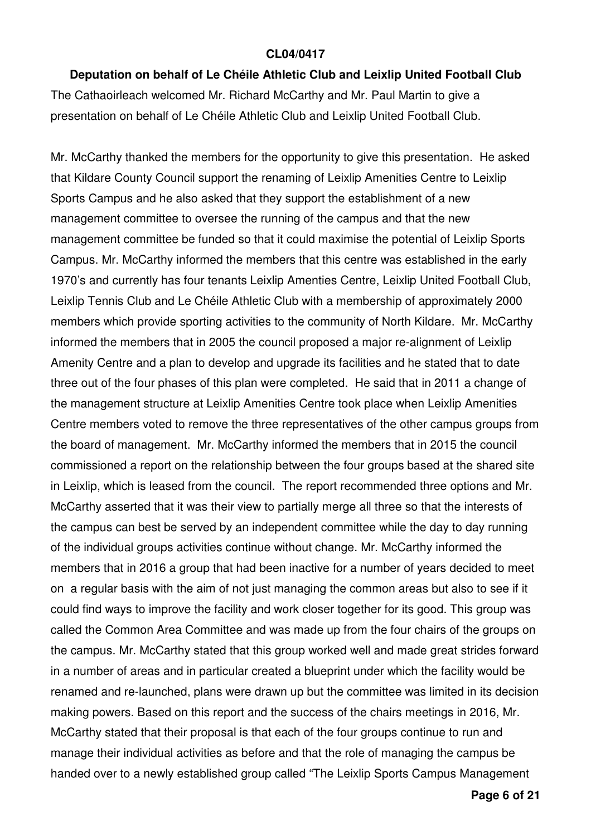#### **CL04/0417**

#### **Deputation on behalf of Le Chéile Athletic Club and Leixlip United Football Club**

The Cathaoirleach welcomed Mr. Richard McCarthy and Mr. Paul Martin to give a presentation on behalf of Le Chéile Athletic Club and Leixlip United Football Club.

Mr. McCarthy thanked the members for the opportunity to give this presentation. He asked that Kildare County Council support the renaming of Leixlip Amenities Centre to Leixlip Sports Campus and he also asked that they support the establishment of a new management committee to oversee the running of the campus and that the new management committee be funded so that it could maximise the potential of Leixlip Sports Campus. Mr. McCarthy informed the members that this centre was established in the early 1970's and currently has four tenants Leixlip Amenties Centre, Leixlip United Football Club, Leixlip Tennis Club and Le Chéile Athletic Club with a membership of approximately 2000 members which provide sporting activities to the community of North Kildare. Mr. McCarthy informed the members that in 2005 the council proposed a major re-alignment of Leixlip Amenity Centre and a plan to develop and upgrade its facilities and he stated that to date three out of the four phases of this plan were completed. He said that in 2011 a change of the management structure at Leixlip Amenities Centre took place when Leixlip Amenities Centre members voted to remove the three representatives of the other campus groups from the board of management. Mr. McCarthy informed the members that in 2015 the council commissioned a report on the relationship between the four groups based at the shared site in Leixlip, which is leased from the council. The report recommended three options and Mr. McCarthy asserted that it was their view to partially merge all three so that the interests of the campus can best be served by an independent committee while the day to day running of the individual groups activities continue without change. Mr. McCarthy informed the members that in 2016 a group that had been inactive for a number of years decided to meet on a regular basis with the aim of not just managing the common areas but also to see if it could find ways to improve the facility and work closer together for its good. This group was called the Common Area Committee and was made up from the four chairs of the groups on the campus. Mr. McCarthy stated that this group worked well and made great strides forward in a number of areas and in particular created a blueprint under which the facility would be renamed and re-launched, plans were drawn up but the committee was limited in its decision making powers. Based on this report and the success of the chairs meetings in 2016, Mr. McCarthy stated that their proposal is that each of the four groups continue to run and manage their individual activities as before and that the role of managing the campus be handed over to a newly established group called "The Leixlip Sports Campus Management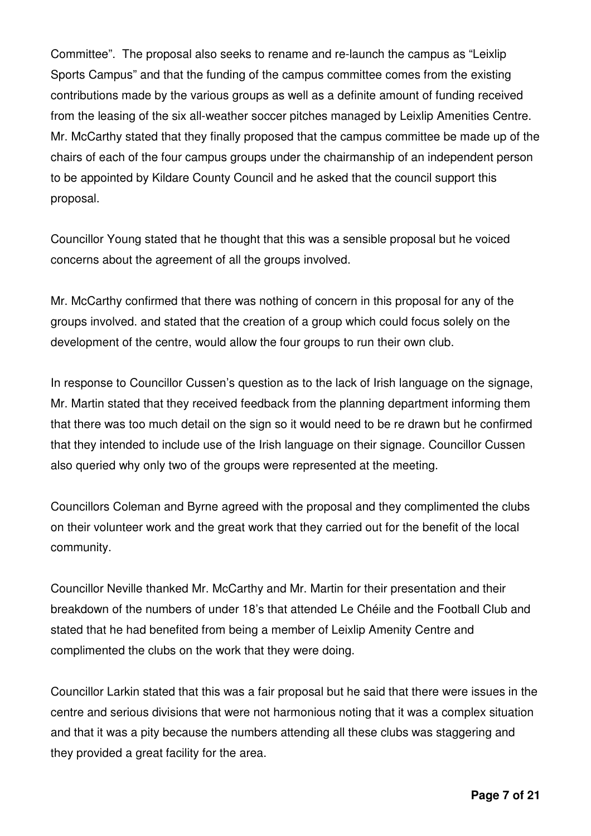Committee". The proposal also seeks to rename and re-launch the campus as "Leixlip Sports Campus" and that the funding of the campus committee comes from the existing contributions made by the various groups as well as a definite amount of funding received from the leasing of the six all-weather soccer pitches managed by Leixlip Amenities Centre. Mr. McCarthy stated that they finally proposed that the campus committee be made up of the chairs of each of the four campus groups under the chairmanship of an independent person to be appointed by Kildare County Council and he asked that the council support this proposal.

Councillor Young stated that he thought that this was a sensible proposal but he voiced concerns about the agreement of all the groups involved.

Mr. McCarthy confirmed that there was nothing of concern in this proposal for any of the groups involved. and stated that the creation of a group which could focus solely on the development of the centre, would allow the four groups to run their own club.

In response to Councillor Cussen's question as to the lack of Irish language on the signage, Mr. Martin stated that they received feedback from the planning department informing them that there was too much detail on the sign so it would need to be re drawn but he confirmed that they intended to include use of the Irish language on their signage. Councillor Cussen also queried why only two of the groups were represented at the meeting.

Councillors Coleman and Byrne agreed with the proposal and they complimented the clubs on their volunteer work and the great work that they carried out for the benefit of the local community.

Councillor Neville thanked Mr. McCarthy and Mr. Martin for their presentation and their breakdown of the numbers of under 18's that attended Le Chéile and the Football Club and stated that he had benefited from being a member of Leixlip Amenity Centre and complimented the clubs on the work that they were doing.

Councillor Larkin stated that this was a fair proposal but he said that there were issues in the centre and serious divisions that were not harmonious noting that it was a complex situation and that it was a pity because the numbers attending all these clubs was staggering and they provided a great facility for the area.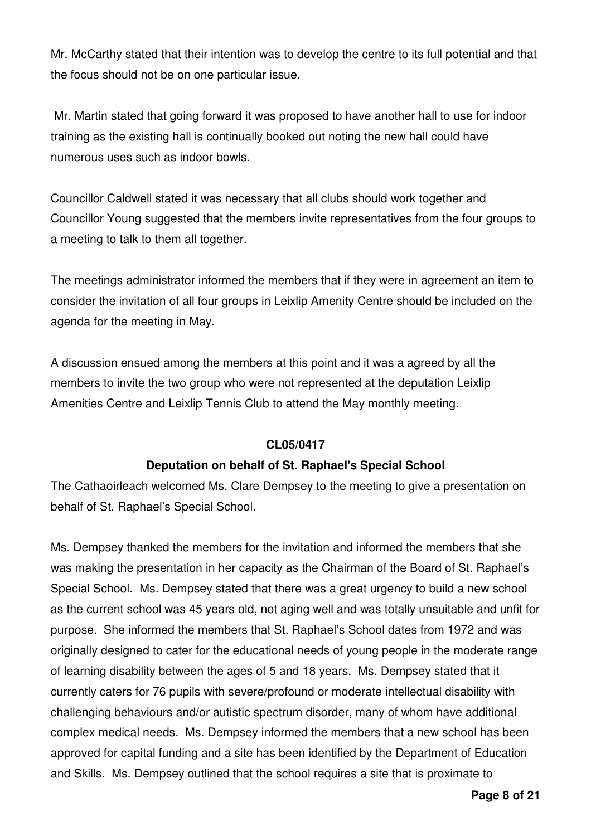Mr. McCarthy stated that their intention was to develop the centre to its full potential and that the focus should not be on one particular issue.

 Mr. Martin stated that going forward it was proposed to have another hall to use for indoor training as the existing hall is continually booked out noting the new hall could have numerous uses such as indoor bowls.

Councillor Caldwell stated it was necessary that all clubs should work together and Councillor Young suggested that the members invite representatives from the four groups to a meeting to talk to them all together.

The meetings administrator informed the members that if they were in agreement an item to consider the invitation of all four groups in Leixlip Amenity Centre should be included on the agenda for the meeting in May.

A discussion ensued among the members at this point and it was a agreed by all the members to invite the two group who were not represented at the deputation Leixlip Amenities Centre and Leixlip Tennis Club to attend the May monthly meeting.

#### **CL05/0417**

### **Deputation on behalf of St. Raphael's Special School**

The Cathaoirleach welcomed Ms. Clare Dempsey to the meeting to give a presentation on behalf of St. Raphael's Special School.

Ms. Dempsey thanked the members for the invitation and informed the members that she was making the presentation in her capacity as the Chairman of the Board of St. Raphael's Special School. Ms. Dempsey stated that there was a great urgency to build a new school as the current school was 45 years old, not aging well and was totally unsuitable and unfit for purpose. She informed the members that St. Raphael's School dates from 1972 and was originally designed to cater for the educational needs of young people in the moderate range of learning disability between the ages of 5 and 18 years. Ms. Dempsey stated that it currently caters for 76 pupils with severe/profound or moderate intellectual disability with challenging behaviours and/or autistic spectrum disorder, many of whom have additional complex medical needs. Ms. Dempsey informed the members that a new school has been approved for capital funding and a site has been identified by the Department of Education and Skills. Ms. Dempsey outlined that the school requires a site that is proximate to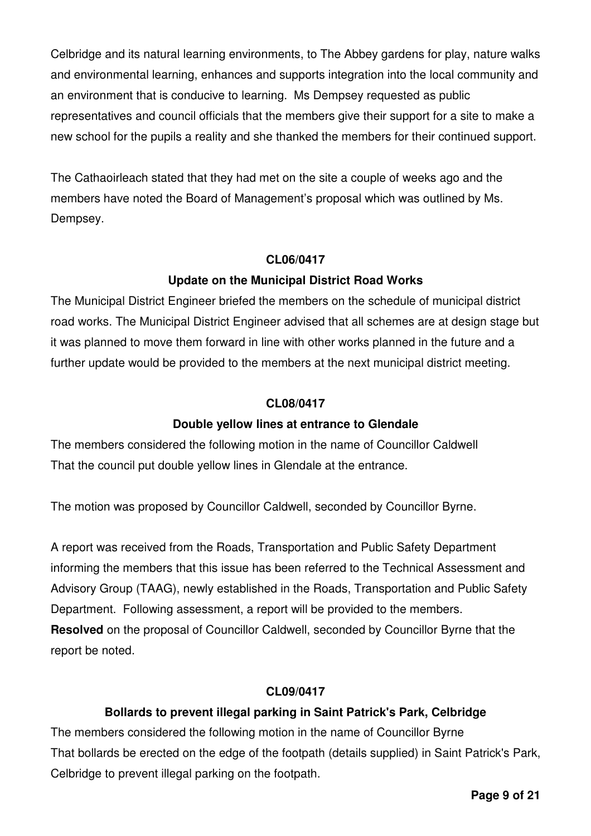Celbridge and its natural learning environments, to The Abbey gardens for play, nature walks and environmental learning, enhances and supports integration into the local community and an environment that is conducive to learning. Ms Dempsey requested as public representatives and council officials that the members give their support for a site to make a new school for the pupils a reality and she thanked the members for their continued support.

The Cathaoirleach stated that they had met on the site a couple of weeks ago and the members have noted the Board of Management's proposal which was outlined by Ms. Dempsey.

#### **CL06/0417**

### **Update on the Municipal District Road Works**

The Municipal District Engineer briefed the members on the schedule of municipal district road works. The Municipal District Engineer advised that all schemes are at design stage but it was planned to move them forward in line with other works planned in the future and a further update would be provided to the members at the next municipal district meeting.

### **CL08/0417**

### **Double yellow lines at entrance to Glendale**

The members considered the following motion in the name of Councillor Caldwell That the council put double yellow lines in Glendale at the entrance.

The motion was proposed by Councillor Caldwell, seconded by Councillor Byrne.

A report was received from the Roads, Transportation and Public Safety Department informing the members that this issue has been referred to the Technical Assessment and Advisory Group (TAAG), newly established in the Roads, Transportation and Public Safety Department. Following assessment, a report will be provided to the members. **Resolved** on the proposal of Councillor Caldwell, seconded by Councillor Byrne that the report be noted.

### **CL09/0417**

# **Bollards to prevent illegal parking in Saint Patrick's Park, Celbridge**

The members considered the following motion in the name of Councillor Byrne That bollards be erected on the edge of the footpath (details supplied) in Saint Patrick's Park, Celbridge to prevent illegal parking on the footpath.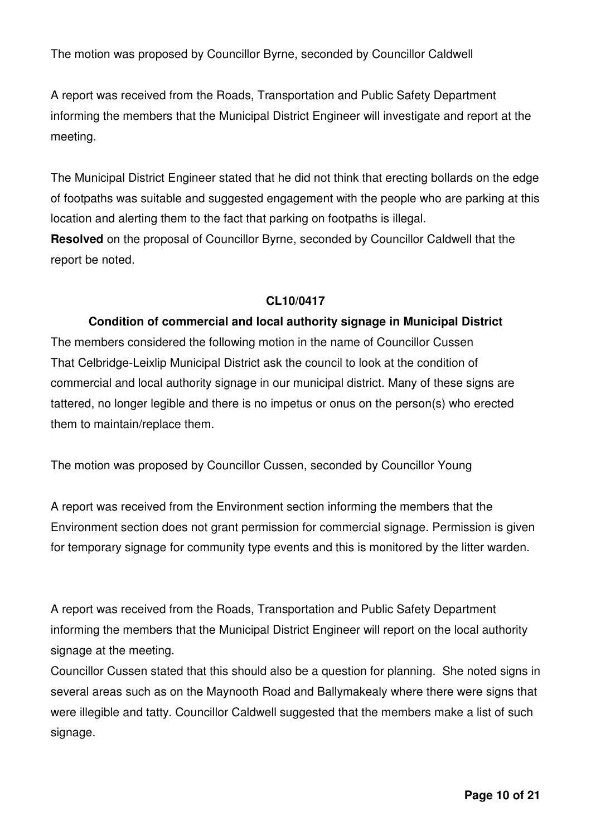The motion was proposed by Councillor Byrne, seconded by Councillor Caldwell

A report was received from the Roads, Transportation and Public Safety Department informing the members that the Municipal District Engineer will investigate and report at the meeting.

The Municipal District Engineer stated that he did not think that erecting bollards on the edge of footpaths was suitable and suggested engagement with the people who are parking at this location and alerting them to the fact that parking on footpaths is illegal.

**Resolved** on the proposal of Councillor Byrne, seconded by Councillor Caldwell that the report be noted.

#### **CL10/0417**

#### **Condition of commercial and local authority signage in Municipal District**

The members considered the following motion in the name of Councillor Cussen That Celbridge-Leixlip Municipal District ask the council to look at the condition of commercial and local authority signage in our municipal district. Many of these signs are tattered, no longer legible and there is no impetus or onus on the person(s) who erected them to maintain/replace them.

The motion was proposed by Councillor Cussen, seconded by Councillor Young

A report was received from the Environment section informing the members that the Environment section does not grant permission for commercial signage. Permission is given for temporary signage for community type events and this is monitored by the litter warden.

A report was received from the Roads, Transportation and Public Safety Department informing the members that the Municipal District Engineer will report on the local authority signage at the meeting.

Councillor Cussen stated that this should also be a question for planning. She noted signs in several areas such as on the Maynooth Road and Ballymakealy where there were signs that were illegible and tatty. Councillor Caldwell suggested that the members make a list of such signage.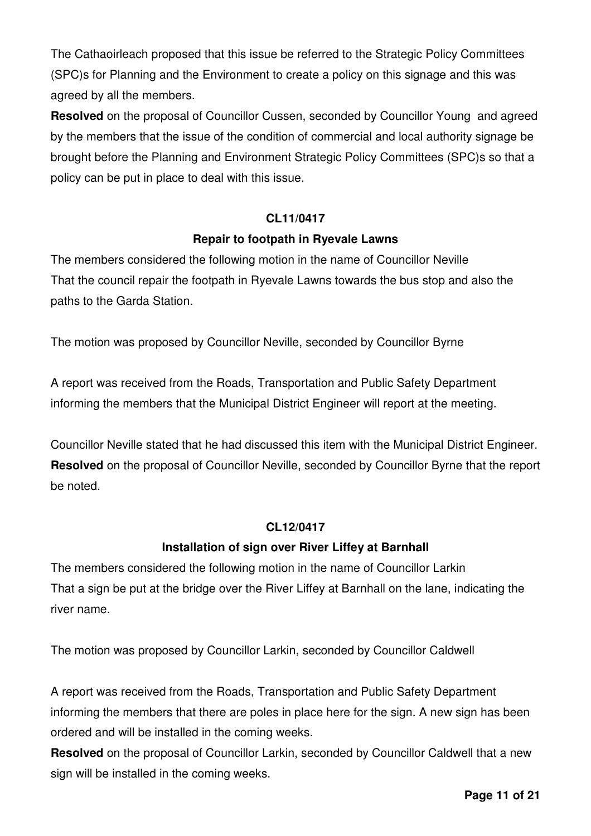The Cathaoirleach proposed that this issue be referred to the Strategic Policy Committees (SPC)s for Planning and the Environment to create a policy on this signage and this was agreed by all the members.

**Resolved** on the proposal of Councillor Cussen, seconded by Councillor Young and agreed by the members that the issue of the condition of commercial and local authority signage be brought before the Planning and Environment Strategic Policy Committees (SPC)s so that a policy can be put in place to deal with this issue.

### **CL11/0417**

### **Repair to footpath in Ryevale Lawns**

The members considered the following motion in the name of Councillor Neville That the council repair the footpath in Ryevale Lawns towards the bus stop and also the paths to the Garda Station.

The motion was proposed by Councillor Neville, seconded by Councillor Byrne

A report was received from the Roads, Transportation and Public Safety Department informing the members that the Municipal District Engineer will report at the meeting.

Councillor Neville stated that he had discussed this item with the Municipal District Engineer. **Resolved** on the proposal of Councillor Neville, seconded by Councillor Byrne that the report be noted.

### **CL12/0417**

### **Installation of sign over River Liffey at Barnhall**

The members considered the following motion in the name of Councillor Larkin That a sign be put at the bridge over the River Liffey at Barnhall on the lane, indicating the river name.

The motion was proposed by Councillor Larkin, seconded by Councillor Caldwell

A report was received from the Roads, Transportation and Public Safety Department informing the members that there are poles in place here for the sign. A new sign has been ordered and will be installed in the coming weeks.

**Resolved** on the proposal of Councillor Larkin, seconded by Councillor Caldwell that a new sign will be installed in the coming weeks.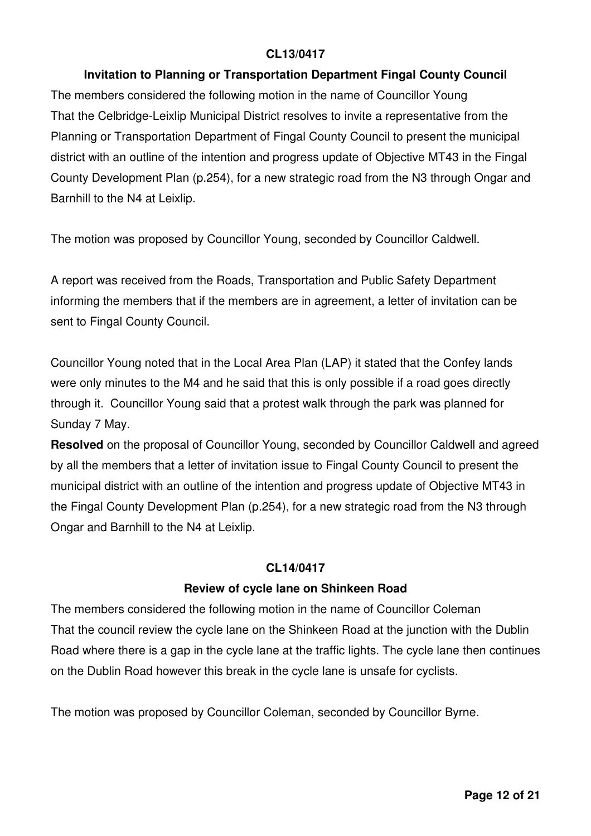### **CL13/0417**

### **Invitation to Planning or Transportation Department Fingal County Council**

The members considered the following motion in the name of Councillor Young That the Celbridge-Leixlip Municipal District resolves to invite a representative from the Planning or Transportation Department of Fingal County Council to present the municipal district with an outline of the intention and progress update of Objective MT43 in the Fingal County Development Plan (p.254), for a new strategic road from the N3 through Ongar and Barnhill to the N4 at Leixlip.

The motion was proposed by Councillor Young, seconded by Councillor Caldwell.

A report was received from the Roads, Transportation and Public Safety Department informing the members that if the members are in agreement, a letter of invitation can be sent to Fingal County Council.

Councillor Young noted that in the Local Area Plan (LAP) it stated that the Confey lands were only minutes to the M4 and he said that this is only possible if a road goes directly through it. Councillor Young said that a protest walk through the park was planned for Sunday 7 May.

**Resolved** on the proposal of Councillor Young, seconded by Councillor Caldwell and agreed by all the members that a letter of invitation issue to Fingal County Council to present the municipal district with an outline of the intention and progress update of Objective MT43 in the Fingal County Development Plan (p.254), for a new strategic road from the N3 through Ongar and Barnhill to the N4 at Leixlip.

### **CL14/0417**

### **Review of cycle lane on Shinkeen Road**

The members considered the following motion in the name of Councillor Coleman That the council review the cycle lane on the Shinkeen Road at the junction with the Dublin Road where there is a gap in the cycle lane at the traffic lights. The cycle lane then continues on the Dublin Road however this break in the cycle lane is unsafe for cyclists.

The motion was proposed by Councillor Coleman, seconded by Councillor Byrne.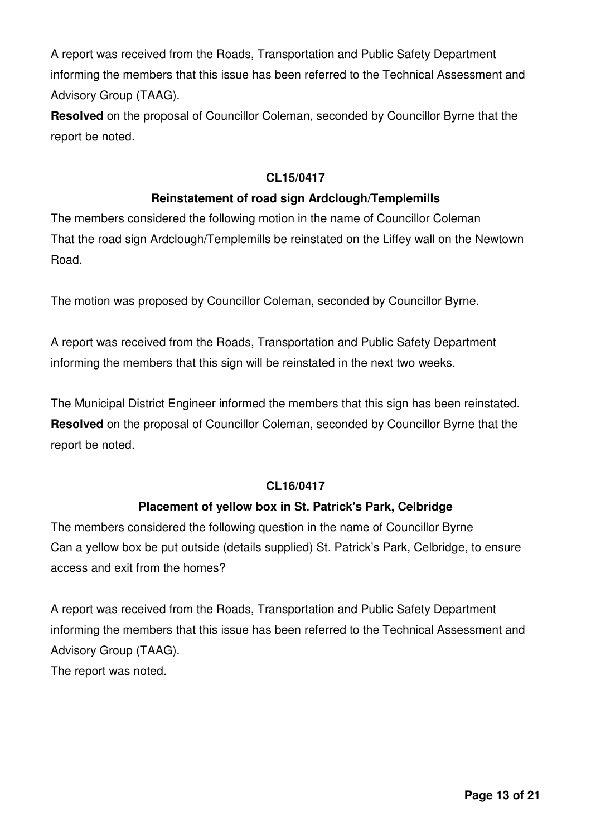A report was received from the Roads, Transportation and Public Safety Department informing the members that this issue has been referred to the Technical Assessment and Advisory Group (TAAG).

**Resolved** on the proposal of Councillor Coleman, seconded by Councillor Byrne that the report be noted.

### **CL15/0417**

# **Reinstatement of road sign Ardclough/Templemills**

The members considered the following motion in the name of Councillor Coleman That the road sign Ardclough/Templemills be reinstated on the Liffey wall on the Newtown Road.

The motion was proposed by Councillor Coleman, seconded by Councillor Byrne.

A report was received from the Roads, Transportation and Public Safety Department informing the members that this sign will be reinstated in the next two weeks.

The Municipal District Engineer informed the members that this sign has been reinstated. **Resolved** on the proposal of Councillor Coleman, seconded by Councillor Byrne that the report be noted.

### **CL16/0417**

# **Placement of yellow box in St. Patrick's Park, Celbridge**

The members considered the following question in the name of Councillor Byrne Can a yellow box be put outside (details supplied) St. Patrick's Park, Celbridge, to ensure access and exit from the homes?

A report was received from the Roads, Transportation and Public Safety Department informing the members that this issue has been referred to the Technical Assessment and Advisory Group (TAAG).

The report was noted.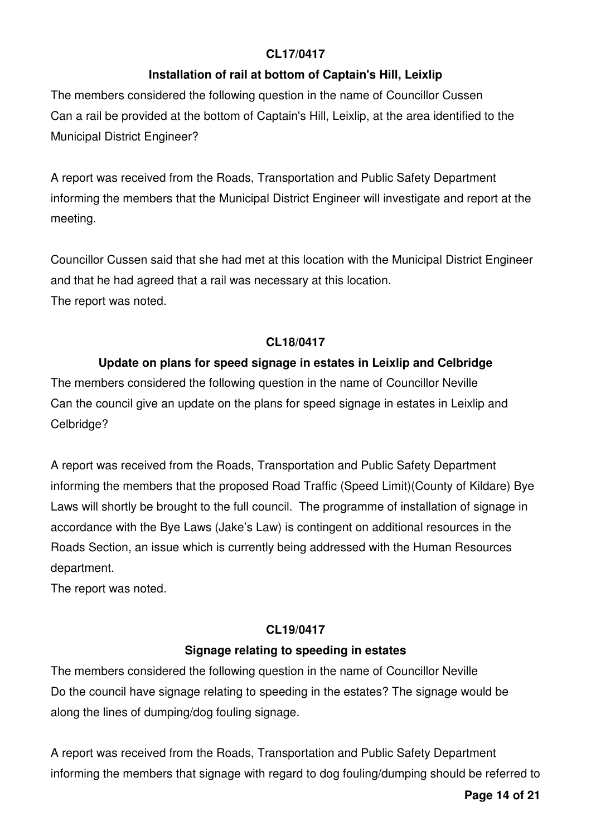# **CL17/0417**

# **Installation of rail at bottom of Captain's Hill, Leixlip**

The members considered the following question in the name of Councillor Cussen Can a rail be provided at the bottom of Captain's Hill, Leixlip, at the area identified to the Municipal District Engineer?

A report was received from the Roads, Transportation and Public Safety Department informing the members that the Municipal District Engineer will investigate and report at the meeting.

Councillor Cussen said that she had met at this location with the Municipal District Engineer and that he had agreed that a rail was necessary at this location. The report was noted.

# **CL18/0417**

### **Update on plans for speed signage in estates in Leixlip and Celbridge**

The members considered the following question in the name of Councillor Neville Can the council give an update on the plans for speed signage in estates in Leixlip and Celbridge?

A report was received from the Roads, Transportation and Public Safety Department informing the members that the proposed Road Traffic (Speed Limit)(County of Kildare) Bye Laws will shortly be brought to the full council. The programme of installation of signage in accordance with the Bye Laws (Jake's Law) is contingent on additional resources in the Roads Section, an issue which is currently being addressed with the Human Resources department.

The report was noted.

# **CL19/0417**

# **Signage relating to speeding in estates**

The members considered the following question in the name of Councillor Neville Do the council have signage relating to speeding in the estates? The signage would be along the lines of dumping/dog fouling signage.

A report was received from the Roads, Transportation and Public Safety Department informing the members that signage with regard to dog fouling/dumping should be referred to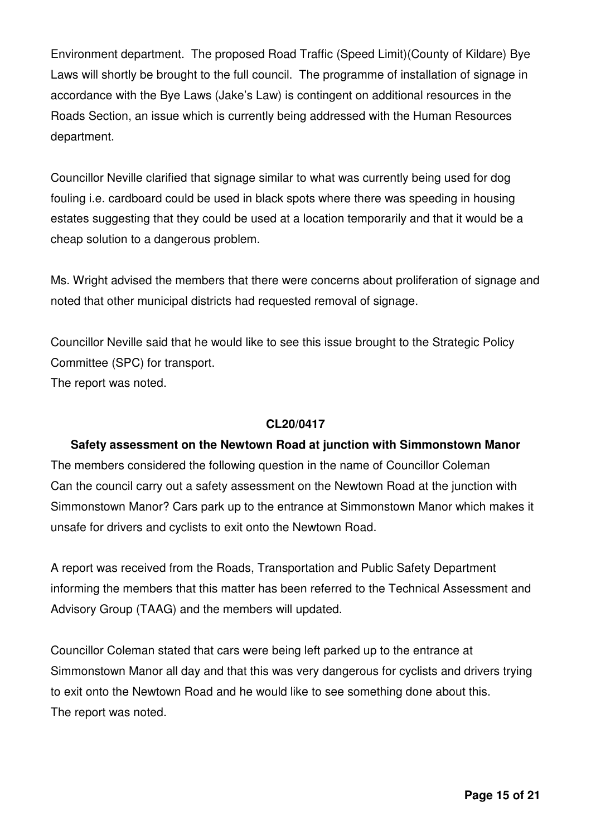Environment department.The proposed Road Traffic (Speed Limit)(County of Kildare) Bye Laws will shortly be brought to the full council. The programme of installation of signage in accordance with the Bye Laws (Jake's Law) is contingent on additional resources in the Roads Section, an issue which is currently being addressed with the Human Resources department.

Councillor Neville clarified that signage similar to what was currently being used for dog fouling i.e. cardboard could be used in black spots where there was speeding in housing estates suggesting that they could be used at a location temporarily and that it would be a cheap solution to a dangerous problem.

Ms. Wright advised the members that there were concerns about proliferation of signage and noted that other municipal districts had requested removal of signage.

Councillor Neville said that he would like to see this issue brought to the Strategic Policy Committee (SPC) for transport. The report was noted.

#### **CL20/0417**

### **Safety assessment on the Newtown Road at junction with Simmonstown Manor**

The members considered the following question in the name of Councillor Coleman Can the council carry out a safety assessment on the Newtown Road at the junction with Simmonstown Manor? Cars park up to the entrance at Simmonstown Manor which makes it unsafe for drivers and cyclists to exit onto the Newtown Road.

A report was received from the Roads, Transportation and Public Safety Department informing the members that this matter has been referred to the Technical Assessment and Advisory Group (TAAG) and the members will updated.

Councillor Coleman stated that cars were being left parked up to the entrance at Simmonstown Manor all day and that this was very dangerous for cyclists and drivers trying to exit onto the Newtown Road and he would like to see something done about this. The report was noted.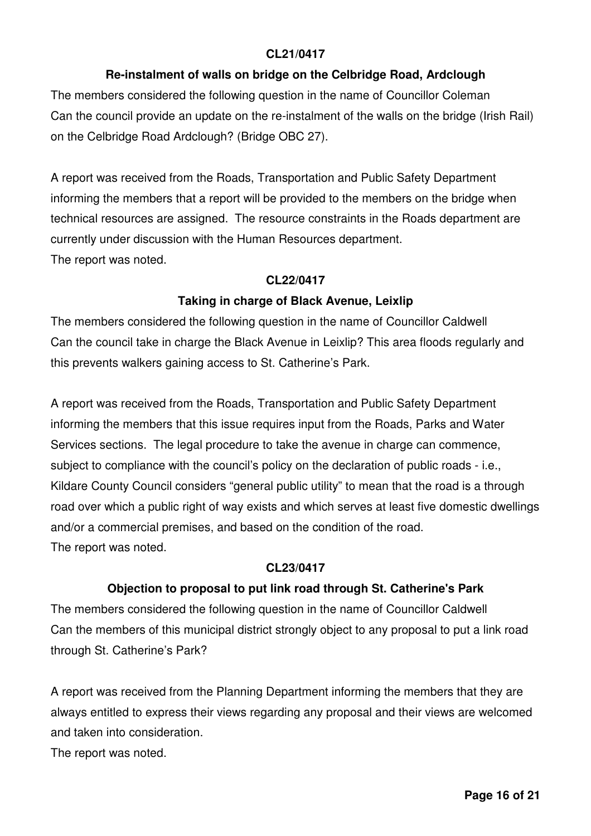# **CL21/0417**

### **Re-instalment of walls on bridge on the Celbridge Road, Ardclough**

The members considered the following question in the name of Councillor Coleman Can the council provide an update on the re-instalment of the walls on the bridge (Irish Rail) on the Celbridge Road Ardclough? (Bridge OBC 27).

A report was received from the Roads, Transportation and Public Safety Department informing the members that a report will be provided to the members on the bridge when technical resources are assigned. The resource constraints in the Roads department are currently under discussion with the Human Resources department. The report was noted.

### **CL22/0417**

# **Taking in charge of Black Avenue, Leixlip**

The members considered the following question in the name of Councillor Caldwell Can the council take in charge the Black Avenue in Leixlip? This area floods regularly and this prevents walkers gaining access to St. Catherine's Park.

A report was received from the Roads, Transportation and Public Safety Department informing the members that this issue requires input from the Roads, Parks and Water Services sections.The legal procedure to take the avenue in charge can commence, subject to compliance with the council's policy on the declaration of public roads - i.e., Kildare County Council considers "general public utility" to mean that the road is a through road over which a public right of way exists and which serves at least five domestic dwellings and/or a commercial premises, and based on the condition of the road. The report was noted.

### **CL23/0417**

# **Objection to proposal to put link road through St. Catherine's Park**

The members considered the following question in the name of Councillor Caldwell Can the members of this municipal district strongly object to any proposal to put a link road through St. Catherine's Park?

A report was received from the Planning Department informing the members that they are always entitled to express their views regarding any proposal and their views are welcomed and taken into consideration.

The report was noted.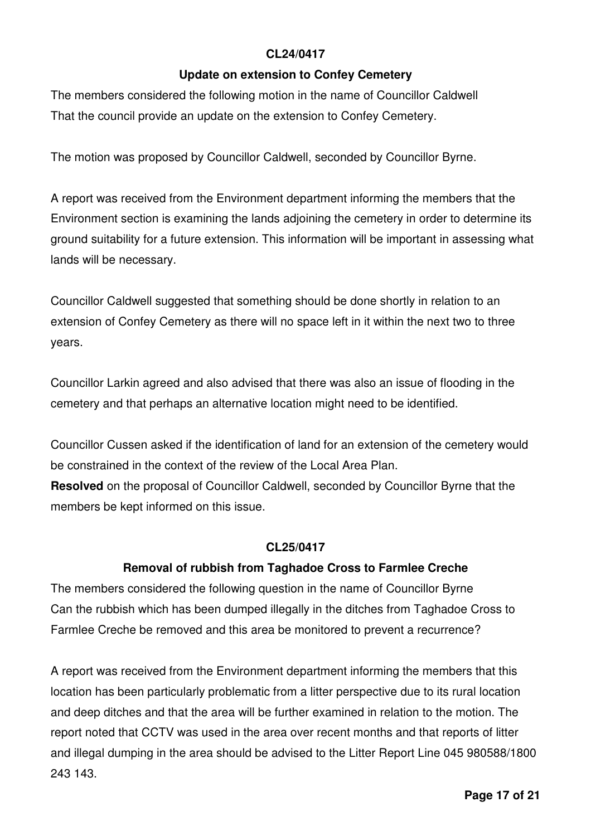### **CL24/0417**

### **Update on extension to Confey Cemetery**

The members considered the following motion in the name of Councillor Caldwell That the council provide an update on the extension to Confey Cemetery.

The motion was proposed by Councillor Caldwell, seconded by Councillor Byrne.

A report was received from the Environment department informing the members that the Environment section is examining the lands adjoining the cemetery in order to determine its ground suitability for a future extension. This information will be important in assessing what lands will be necessary.

Councillor Caldwell suggested that something should be done shortly in relation to an extension of Confey Cemetery as there will no space left in it within the next two to three years.

Councillor Larkin agreed and also advised that there was also an issue of flooding in the cemetery and that perhaps an alternative location might need to be identified.

Councillor Cussen asked if the identification of land for an extension of the cemetery would be constrained in the context of the review of the Local Area Plan. **Resolved** on the proposal of Councillor Caldwell, seconded by Councillor Byrne that the members be kept informed on this issue.

### **CL25/0417**

# **Removal of rubbish from Taghadoe Cross to Farmlee Creche**

The members considered the following question in the name of Councillor Byrne Can the rubbish which has been dumped illegally in the ditches from Taghadoe Cross to Farmlee Creche be removed and this area be monitored to prevent a recurrence?

A report was received from the Environment department informing the members that this location has been particularly problematic from a litter perspective due to its rural location and deep ditches and that the area will be further examined in relation to the motion. The report noted that CCTV was used in the area over recent months and that reports of litter and illegal dumping in the area should be advised to the Litter Report Line 045 980588/1800 243 143.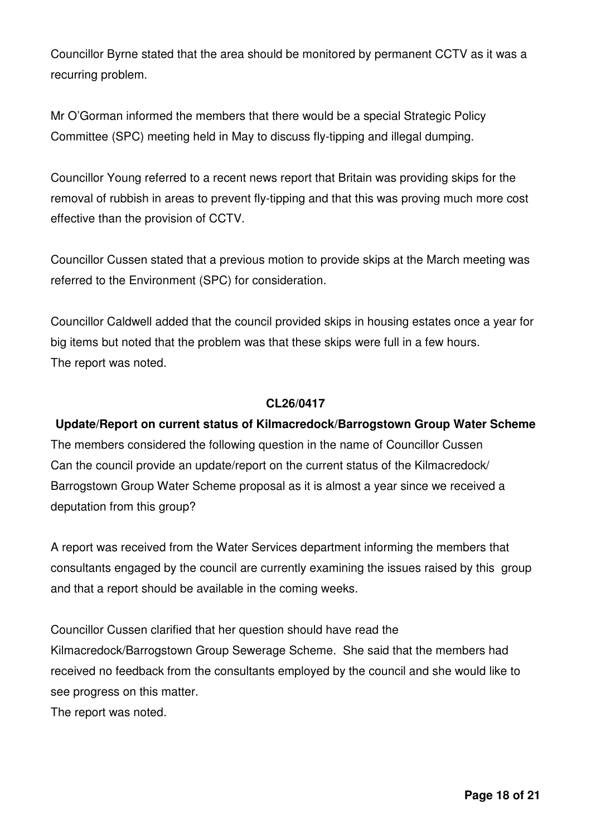Councillor Byrne stated that the area should be monitored by permanent CCTV as it was a recurring problem.

Mr O'Gorman informed the members that there would be a special Strategic Policy Committee (SPC) meeting held in May to discuss fly-tipping and illegal dumping.

Councillor Young referred to a recent news report that Britain was providing skips for the removal of rubbish in areas to prevent fly-tipping and that this was proving much more cost effective than the provision of CCTV.

Councillor Cussen stated that a previous motion to provide skips at the March meeting was referred to the Environment (SPC) for consideration.

Councillor Caldwell added that the council provided skips in housing estates once a year for big items but noted that the problem was that these skips were full in a few hours. The report was noted.

#### **CL26/0417**

#### **Update/Report on current status of Kilmacredock/Barrogstown Group Water Scheme**

The members considered the following question in the name of Councillor Cussen Can the council provide an update/report on the current status of the Kilmacredock/ Barrogstown Group Water Scheme proposal as it is almost a year since we received a deputation from this group?

A report was received from the Water Services department informing the members that consultants engaged by the council are currently examining the issues raised by this group and that a report should be available in the coming weeks.

Councillor Cussen clarified that her question should have read the Kilmacredock/Barrogstown Group Sewerage Scheme. She said that the members had received no feedback from the consultants employed by the council and she would like to see progress on this matter. The report was noted.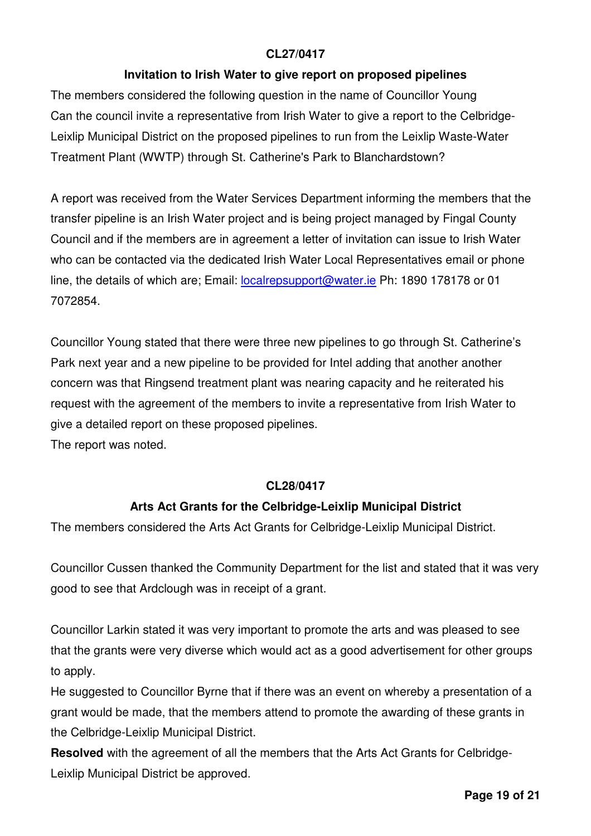# **CL27/0417**

### **Invitation to Irish Water to give report on proposed pipelines**

The members considered the following question in the name of Councillor Young Can the council invite a representative from Irish Water to give a report to the Celbridge-Leixlip Municipal District on the proposed pipelines to run from the Leixlip Waste-Water Treatment Plant (WWTP) through St. Catherine's Park to Blanchardstown?

A report was received from the Water Services Department informing the members that the transfer pipeline is an Irish Water project and is being project managed by Fingal County Council and if the members are in agreement a letter of invitation can issue to Irish Water who can be contacted via the dedicated Irish Water Local Representatives email or phone line, the details of which are; Email: localrepsupport@water.ie Ph: 1890 178178 or 01 7072854.

Councillor Young stated that there were three new pipelines to go through St. Catherine's Park next year and a new pipeline to be provided for Intel adding that another another concern was that Ringsend treatment plant was nearing capacity and he reiterated his request with the agreement of the members to invite a representative from Irish Water to give a detailed report on these proposed pipelines.

The report was noted.

### **CL28/0417**

# **Arts Act Grants for the Celbridge-Leixlip Municipal District**

The members considered the Arts Act Grants for Celbridge-Leixlip Municipal District.

Councillor Cussen thanked the Community Department for the list and stated that it was very good to see that Ardclough was in receipt of a grant.

Councillor Larkin stated it was very important to promote the arts and was pleased to see that the grants were very diverse which would act as a good advertisement for other groups to apply.

He suggested to Councillor Byrne that if there was an event on whereby a presentation of a grant would be made, that the members attend to promote the awarding of these grants in the Celbridge-Leixlip Municipal District.

**Resolved** with the agreement of all the members that the Arts Act Grants for Celbridge-Leixlip Municipal District be approved.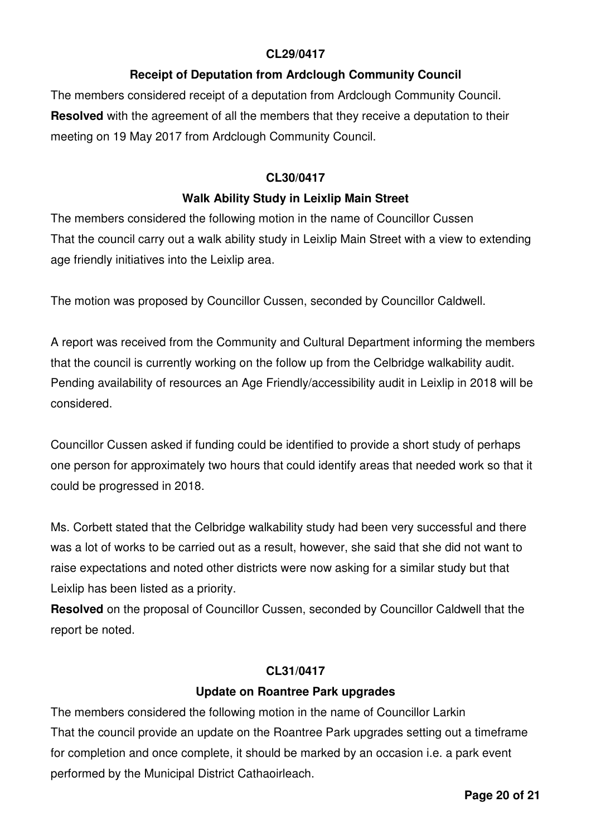### **CL29/0417**

### **Receipt of Deputation from Ardclough Community Council**

The members considered receipt of a deputation from Ardclough Community Council. **Resolved** with the agreement of all the members that they receive a deputation to their meeting on 19 May 2017 from Ardclough Community Council.

### **CL30/0417**

# **Walk Ability Study in Leixlip Main Street**

The members considered the following motion in the name of Councillor Cussen That the council carry out a walk ability study in Leixlip Main Street with a view to extending age friendly initiatives into the Leixlip area.

The motion was proposed by Councillor Cussen, seconded by Councillor Caldwell.

A report was received from the Community and Cultural Department informing the members that the council is currently working on the follow up from the Celbridge walkability audit. Pending availability of resources an Age Friendly/accessibility audit in Leixlip in 2018 will be considered.

Councillor Cussen asked if funding could be identified to provide a short study of perhaps one person for approximately two hours that could identify areas that needed work so that it could be progressed in 2018.

Ms. Corbett stated that the Celbridge walkability study had been very successful and there was a lot of works to be carried out as a result, however, she said that she did not want to raise expectations and noted other districts were now asking for a similar study but that Leixlip has been listed as a priority.

**Resolved** on the proposal of Councillor Cussen, seconded by Councillor Caldwell that the report be noted.

### **CL31/0417**

### **Update on Roantree Park upgrades**

The members considered the following motion in the name of Councillor Larkin That the council provide an update on the Roantree Park upgrades setting out a timeframe for completion and once complete, it should be marked by an occasion i.e. a park event performed by the Municipal District Cathaoirleach.